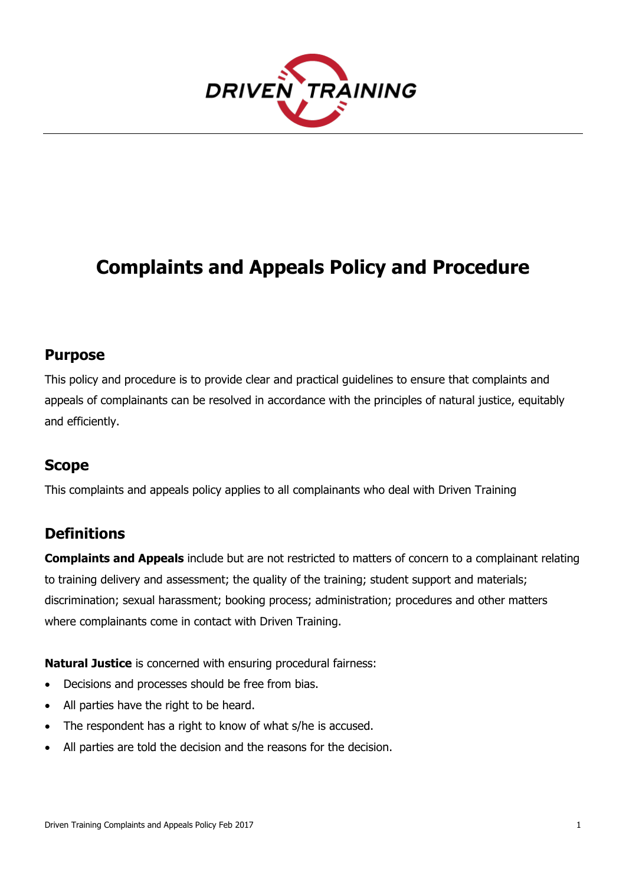

# **Complaints and Appeals Policy and Procedure**

#### **Purpose**

This policy and procedure is to provide clear and practical guidelines to ensure that complaints and appeals of complainants can be resolved in accordance with the principles of natural justice, equitably and efficiently.

### **Scope**

This complaints and appeals policy applies to all complainants who deal with Driven Training

### **Definitions**

**Complaints and Appeals** include but are not restricted to matters of concern to a complainant relating to training delivery and assessment; the quality of the training; student support and materials; discrimination; sexual harassment; booking process; administration; procedures and other matters where complainants come in contact with Driven Training.

**Natural Justice** is concerned with ensuring procedural fairness:

- Decisions and processes should be free from bias.
- All parties have the right to be heard.
- The respondent has a right to know of what s/he is accused.
- All parties are told the decision and the reasons for the decision.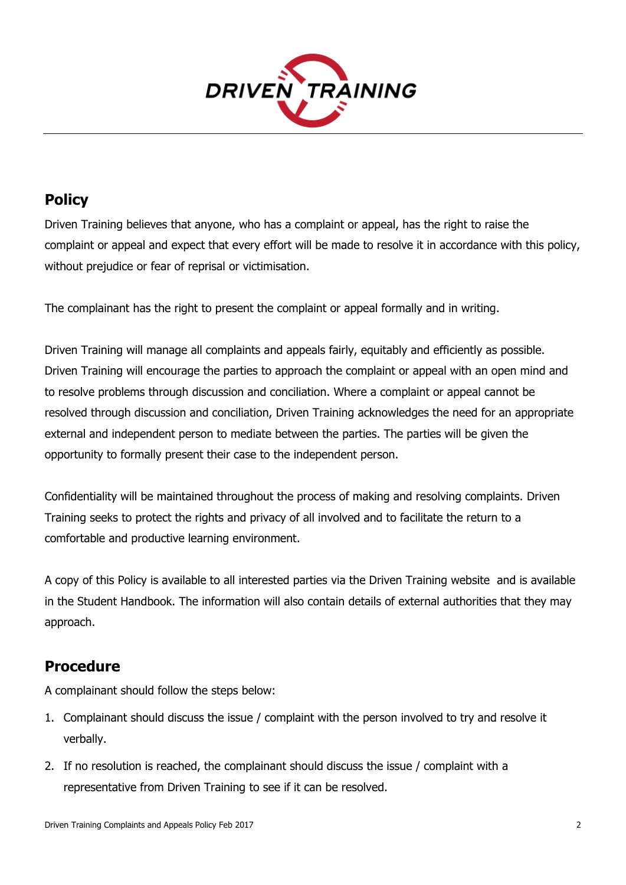

## **Policy**

Driven Training believes that anyone, who has a complaint or appeal, has the right to raise the complaint or appeal and expect that every effort will be made to resolve it in accordance with this policy, without prejudice or fear of reprisal or victimisation.

The complainant has the right to present the complaint or appeal formally and in writing.

Driven Training will manage all complaints and appeals fairly, equitably and efficiently as possible. Driven Training will encourage the parties to approach the complaint or appeal with an open mind and to resolve problems through discussion and conciliation. Where a complaint or appeal cannot be resolved through discussion and conciliation, Driven Training acknowledges the need for an appropriate external and independent person to mediate between the parties. The parties will be given the opportunity to formally present their case to the independent person.

Confidentiality will be maintained throughout the process of making and resolving complaints. Driven Training seeks to protect the rights and privacy of all involved and to facilitate the return to a comfortable and productive learning environment.

A copy of this Policy is available to all interested parties via the Driven Training website and is available in the Student Handbook. The information will also contain details of external authorities that they may approach.

### **Procedure**

A complainant should follow the steps below:

- 1. Complainant should discuss the issue / complaint with the person involved to try and resolve it verbally.
- 2. If no resolution is reached, the complainant should discuss the issue / complaint with a representative from Driven Training to see if it can be resolved.